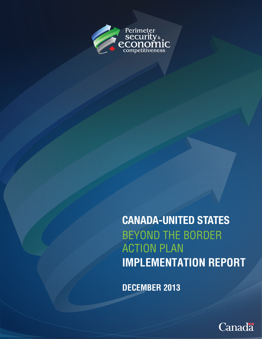

CANADA-UNITED STATES BEYOND THE BORDER ACTION PLAN **IMPLEMENTATION REPORT**

**DECEMBER 2013**

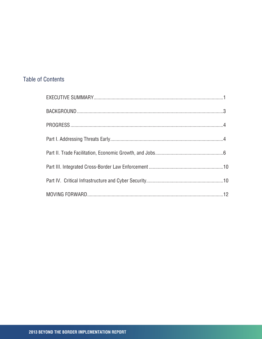# **Table of Contents**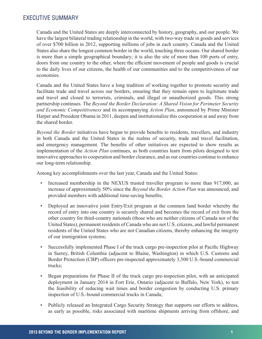## <span id="page-2-0"></span>EXECUTIVE SUMMARY

Canada and the United States are deeply interconnected by history, geography, and our people. We have the largest bilateral trading relationship in the world, with two-way trade in goods and services of over \$700 billion in 2012, supporting millions of jobs in each country. Canada and the United States also share the longest common border in the world, touching three oceans. Our shared border is more than a simple geographical boundary; it is also the site of more than 100 ports of entry, doors from one country to the other, where the efficient movement of people and goods is crucial to the daily lives of our citizens, the health of our communities and to the competitiveness of our economies.

Canada and the United States have a long tradition of working together to promote security and facilitate trade and travel across our borders, ensuring that they remain open to legitimate trade and travel and closed to terrorists, criminals, and illegal or unauthorized goods. This strong partnership continues. The *Beyond the Border Declaration: A Shared Vision for Perimeter Security and Economic Competitiveness* and its accompanying *Action Plan*, announced by Prime Minister Harper and President Obama in 2011, deepen and institutionalize this cooperation at and away from the shared border.

*Beyond the Border* initiatives have begun to provide benefits to residents, travellers, and industry in both Canada and the United States in the realms of security, trade and travel facilitation, and emergency management. The benefits of other initiatives are expected to show results as implementation of the *Action Plan* continues, as both countries learn from pilots designed to test innovative approaches to cooperation and border clearance, and as our countries continue to enhance our long-term relationship.

Among key accomplishments over the last year, Canada and the United States:

- Increased membership in the NEXUS trusted traveller program to more than 917,000, an increase of approximately 50% since the *Beyond the Border Action Plan* was announced, and provided members with additional time-saving benefits;
- Deployed an innovative joint Entry/Exit program at the common land border whereby the record of entry into one country is securely shared and becomes the record of exit from the other country for third-country nationals (those who are neither citizens of Canada nor of the United States), permanent residents of Canada who are not U.S. citizens, and lawful permanent residents of the United States who are not Canadian citizens, thereby enhancing the integrity of our immigration systems;
- Successfully implemented Phase I of the truck cargo pre-inspection pilot at Pacific Highway in Surrey, British Columbia (adjacent to Blaine, Washington) in which U.S. Customs and Border Protection (CBP) officers pre-inspected approximately 3,500 U.S.-bound commercial trucks;
- Began preparations for Phase II of the truck cargo pre-inspection pilot, with an anticipated deployment in January 2014 in Fort Erie, Ontario (adjacent to Buffalo, New York), to test the feasibility of reducing wait times and border congestion by conducting U.S. primary inspection of U.S.-bound commercial trucks in Canada;
- Publicly released an Integrated Cargo Security Strategy that supports our efforts to address, as early as possible, risks associated with maritime shipments arriving from offshore, and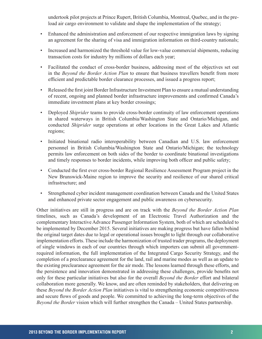undertook pilot projects at Prince Rupert, British Columbia, Montreal, Quebec, and in the preload air cargo environment to validate and shape the implementation of the strategy;

- Enhanced the administration and enforcement of our respective immigration laws by signing an agreement for the sharing of visa and immigration information on third-country nationals;
- Increased and harmonized the threshold value for low-value commercial shipments, reducing transaction costs for industry by millions of dollars each year;
- Facilitated the conduct of cross-border business, addressing most of the objectives set out in the *Beyond the Border Action Plan* to ensure that business travellers benefit from more efficient and predictable border clearance processes, and issued a progress report;
- Released the first joint Border Infrastructure Investment Plan to ensure a mutual understanding of recent, ongoing and planned border infrastructure improvements and confirmed Canada's immediate investment plans at key border crossings;
- Deployed *Shiprider* teams to provide cross-border continuity of law enforcement operations in shared waterways in British Columbia/Washington State and Ontario/Michigan, and conducted *Shiprider* surge operations at other locations in the Great Lakes and Atlantic regions;
- Initiated binational radio interoperability between Canadian and U.S. law enforcement personnel in British Columbia/Washington State and Ontario/Michigan; the technology permits law enforcement on both sides of the border to coordinate binational investigations and timely responses to border incidents, while improving both officer and public safety;
- Conducted the first ever cross-border Regional Resilience Assessment Program project in the New Brunswick-Maine region to improve the security and resilience of our shared critical infrastructure; and
- Strengthened cyber incident management coordination between Canada and the United States and enhanced private sector engagement and public awareness on cybersecurity.

Other initiatives are still in progress and are on track with the *Beyond the Border Action Plan*  timelines, such as Canada's development of an Electronic Travel Authorization and the complementary Interactive Advance Passenger Information System, both of which are scheduled to be implemented by December 2015. Several initiatives are making progress but have fallen behind the original target dates due to legal or operational issues brought to light through our collaborative implementation efforts. These include the harmonization of trusted trader programs, the deployment of single windows in each of our countries through which importers can submit all governmentrequired information, the full implementation of the Integrated Cargo Security Strategy, and the completion of a preclearance agreement for the land, rail and marine modes as well as an update to the existing preclearance agreement for the air mode. The lessons learned through these efforts, and the persistence and innovation demonstrated in addressing these challenges, provide benefits not only for these particular initiatives but also for the overall *Beyond the Border* effort and bilateral collaboration more generally. We know, and are often reminded by stakeholders, that delivering on these *Beyond the Border Action Plan* initiatives is vital to strengthening economic competitiveness and secure flows of goods and people. We committed to achieving the long-term objectives of the *Beyond the Border* vision which will further strengthen the Canada – United States partnership.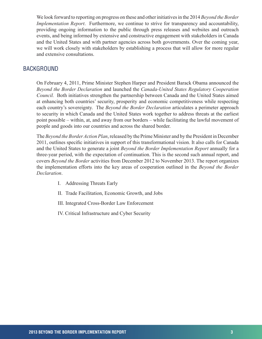<span id="page-4-0"></span>We look forward to reporting on progress on these and other initiatives in the 2014 *Beyond the Border Implementation Report*. Furthermore, we continue to strive for transparency and accountability, providing ongoing information to the public through press releases and websites and outreach events, and being informed by extensive and constructive engagement with stakeholders in Canada and the United States and with partner agencies across both governments. Over the coming year, we will work closely with stakeholders by establishing a process that will allow for more regular and extensive consultations.

## BACKGROUND

On February 4, 2011, Prime Minister Stephen Harper and President Barack Obama announced the *Beyond the Border Declaration* and launched the *Canada-United States Regulatory Cooperation Council.* Both initiatives strengthen the partnership between Canada and the United States aimed at enhancing both countries' security, prosperity and economic competitiveness while respecting each country's sovereignty. The *Beyond the Border Declaration* articulates a perimeter approach to security in which Canada and the United States work together to address threats at the earliest point possible – within, at, and away from our borders – while facilitating the lawful movement of people and goods into our countries and across the shared border.

The *Beyond the Border Action Plan*, released by the Prime Minister and by the President in December 2011, outlines specific initiatives in support of this transformational vision. It also calls for Canada and the United States to generate a joint *Beyond the Border Implementation Report* annually for a three-year period, with the expectation of continuation. This is the second such annual report, and covers *Beyond the Border* activities from December 2012 to November 2013. The report organizes the implementation efforts into the key areas of cooperation outlined in the *Beyond the Border Declaration*.

- I. Addressing Threats Early
- II. Trade Facilitation, Economic Growth, and Jobs
- III. Integrated Cross-Border Law Enforcement
- IV. Critical Infrastructure and Cyber Security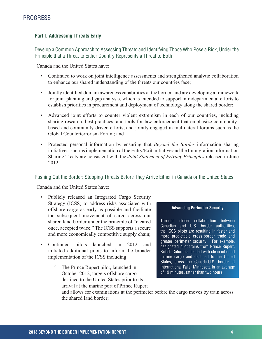## <span id="page-5-0"></span>**Part I. Addressing Threats Early**

Develop a Common Approach to Assessing Threats and Identifying Those Who Pose a Risk, Under the Principle that a Threat to Either Country Represents a Threat to Both

Canada and the United States have:

- Continued to work on joint intelligence assessments and strengthened analytic collaboration to enhance our shared understanding of the threats our countries face;
- Jointly identified domain awareness capabilities at the border, and are developing a framework for joint planning and gap analysis, which is intended to support intradepartmental efforts to establish priorities in procurement and deployment of technology along the shared border;
- Advanced joint efforts to counter violent extremism in each of our countries, including sharing research, best practices, and tools for law enforcement that emphasize communitybased and community-driven efforts, and jointly engaged in multilateral forums such as the Global Counterterrorism Forum; and
- Protected personal information by ensuring that *Beyond the Border* information sharing initiatives, such as implementation of the Entry/Exit initiative and the Immigration Information Sharing Treaty are consistent with the *Joint Statement of Privacy Principles* released in June 2012.

## Pushing Out the Border: Stopping Threats Before They Arrive Either in Canada or the United States

Canada and the United States have:

- Publicly released an Integrated Cargo Security Strategy (ICSS) to address risks associated with offshore cargo as early as possible and facilitate the subsequent movement of cargo across our shared land border under the principle of "cleared once, accepted twice." The ICSS supports a secure and more economically competitive supply chain;
- Continued pilots launched in 2012 and initiated additional pilots to inform the broader implementation of the ICSS including:
	- The Prince Rupert pilot, launched in October 2012, targets offshore cargo destined to the United States prior to its arrival at the marine port of Prince Rupert



Through closer collaboration between Canadian and U.S. border authorities, the ICSS pilots are resulting in faster and more predictable cross-border trade and greater perimeter security. For example, designated pilot trains from Prince Rupert, British Columbia, loaded with clean inbound marine cargo and destined to the United States, cross the Canada-U.S. border at International Falls, Minnesota in an average of 19 minutes, rather than two hours.

and allows for examinations at the perimeter before the cargo moves by train across the shared land border;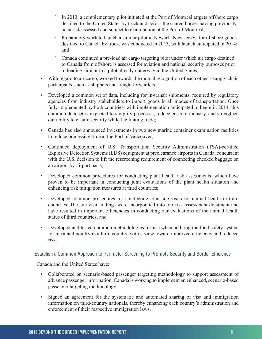- º In 2013, a complementary pilot initiated at the Port of Montreal targets offshore cargo destined to the United States by truck and across the shared border having previously been risk assessed and subject to examination at the Port of Montreal;
- º Preparatory work to launch a similar pilot in Newark, New Jersey, for offshore goods destined to Canada by truck, was conducted in 2013, with launch anticipated in 2014; and
- º Canada continued a pre-load air cargo targeting pilot under which air cargo destined to Canada from offshore is assessed for aviation and national security purposes prior to loading similar to a pilot already underway in the United States;
- With regard to air cargo, worked towards the mutual recognition of each other's supply chain participants, such as shippers and freight forwarders;
- Developed a common set of data, including for in-transit shipments, required by regulatory agencies from industry stakeholders to import goods in all modes of transportation. Once fully implemented by both countries, with implementation anticipated to begin in 2014, this common data set is expected to simplify processes, reduce costs to industry, and strengthen our ability to ensure security while facilitating trade;
- Canada has also announced investments in two new marine container examination facilities to reduce processing time at the Port of Vancouver;
- Continued deployment of U.S. Transportation Security Administration (TSA)-certified Explosive Detection Systems (EDS) equipment at preclearance airports in Canada, concurrent with the U.S. decision to lift the rescreening requirement of connecting checked baggage on an airport-by-airport basis;
- Developed common procedures for conducting plant health risk assessments, which have proven to be important in conducting joint evaluations of the plant health situation and enhancing risk mitigation measures at third countries;
- Developed common procedures for conducting joint site visits for animal health in third countries. The site visit findings were incorporated into our risk assessment document and have resulted in important efficiencies in conducting our evaluations of the animal health status of third countries; and
- Developed and tested common methodologies for use when auditing the food safety system for meat and poultry in a third country, with a view toward improved efficiency and reduced risk.

## Establish a Common Approach to Perimeter Screening to Promote Security and Border Efficiency

Canada and the United States have:

- Collaborated on scenario-based passenger targeting methodology to support assessment of advance passenger information. Canada is working to implement an enhanced, scenario-based passenger targeting methodology;
- Signed an agreement for the systematic and automated sharing of visa and immigration information on third-country nationals, thereby enhancing each country's administration and enforcement of their respective immigration laws;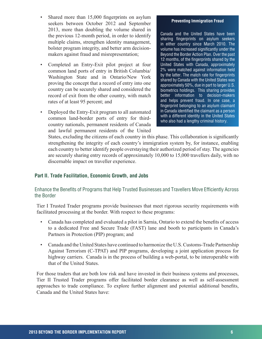- <span id="page-7-0"></span>• Shared more than 15,000 fingerprints on asylum seekers between October 2012 and September 2013, more than doubling the volume shared in the previous 12-month period, in order to identify multiple claims, strengthen identity management, bolster program integrity, and better arm decisionmakers against fraud and misrepresentation;
- Completed an Entry-Exit pilot project at four common land ports of entry in British Columbia/ Washington State and in Ontario/New York proving the concept that a record of entry into one country can be securely shared and considered the record of exit from the other country, with match rates of at least 95 percent; and
- Deployed the Entry-Exit program to all automated common land-border ports of entry for thirdcountry nationals, permanent residents of Canada and lawful permanent residents of the United

#### **Preventing Immigration Fraud**

Canada and the United States have been sharing fingerprints on asylum seekers in either country since March 2010. The volume has increased significantly under the Beyond the Border Action Plan. Over the past 12 months, of the fingerprints shared by the United States with Canada, approximately 2% were matched against information held by the latter. The match rate for fingerprints shared by Canada with the United States was approximately 50%, due in part to larger U.S. biometrics holdings. This sharing provides better information to decision-makers and helps prevent fraud. In one case, a fingerprint belonging to an asylum claimant in Canada identified the claimant as a person with a different identity in the United States who also had a lengthy criminal history.

States, excluding the citizens of each country in this phase. This collaboration is significantly strengthening the integrity of each country's immigration system by, for instance, enabling each country to better identify people overstaying their authorized period of stay. The agencies are securely sharing entry records of approximately 10,000 to 15,000 travellers daily, with no discernable impact on traveller experience.

#### **Part II. Trade Facilitation, Economic Growth, and Jobs**

#### Enhance the Benefits of Programs that Help Trusted Businesses and Travellers Move Efficiently Across the Border

Tier I Trusted Trader programs provide businesses that meet rigorous security requirements with facilitated processing at the border. With respect to these programs:

- Canada has completed and evaluated a pilot in Sarnia, Ontario to extend the benefits of access to a dedicated Free and Secure Trade (FAST) lane and booth to participants in Canada's Partners in Protection (PIP) program; and
- Canada and the United States have continued to harmonize the U.S. Customs-Trade Partnership Against Terrorism (C-TPAT) and PIP programs, developing a joint application process for highway carriers. Canada is in the process of building a web-portal, to be interoperable with that of the United States.

For those traders that are both low risk and have invested in their business systems and processes, Tier II Trusted Trader programs offer facilitated border clearance as well as self-assessment approaches to trade compliance. To explore further alignment and potential additional benefits, Canada and the United States have: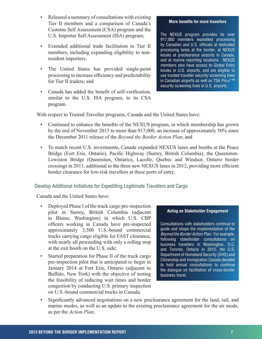- Released a summary of consultations with existing Tier II members and a comparison of Canada's Customs Self Assessment (CSA) program and the U.S. Importer Self Assessment (ISA) program;
- Extended additional trade facilitation to Tier II members, including expanding eligibility to nonresident importers;
- The United States has provided single-point processing to increase efficiency and predictability for Tier II traders; and
- Canada has added the benefit of self-verification, similar to the U.S. ISA program, to its CSA program.

#### **More benefits for more travellers**

The NEXUS program provides its over 917,000 members expedited processing by Canadian and U.S. officials at dedicated processing lanes at the border, at NEXUS kiosks at preclearance airports in Canada, and at marine reporting locations. NEXUS members also have access to Global Entry kiosks in U.S. airports, and are eligible to use trusted traveller security screening lines in Canadian airports as well as TSA Preê security screening lines in U.S. airports.

With respect to Trusted Traveller programs, Canada and the United States have:

- Continued to enhance the benefits of the NEXUS program, in which membership has grown by the end of November 2013 to more than 917,000, an increase of approximately 50% since the December 2011 release of the *Beyond the Border Action Plan*; and
- To match recent U.S. investments, Canada expanded NEXUS lanes and booths at the Peace Bridge (Fort Erie, Ontario), Pacific Highway (Surrey, British Columbia), the Queenston-Lewiston Bridge (Queenston, Ontario), Lacolle, Quebec and Windsor, Ontario border crossings in 2013, additional to the three new NEXUS lanes in 2012, providing more efficient border clearance for low-risk travellers at these ports of entry.

## Develop Additional Initiatives for Expediting Legitimate Travellers and Cargo

Canada and the United States have:

- Deployed Phase I of the truck cargo pre-inspection pilot in Surrey, British Columbia (adjacent to Blaine, Washington) in which U.S. CBP officers working in Canada have pre-inspected approximately 3,500 U.S.-bound commercial trucks carrying cargo eligible for FAST clearance, with nearly all proceeding with only a rolling stop at the exit booth on the U.S. side;
- Started preparation for Phase II of the truck cargo pre-inspection pilot that is anticipated to begin in January 2014 at Fort Erie, Ontario (adjacent to Buffalo, New York) with the objective of testing the feasibility of reducing wait times and border congestion by conducting U.S. primary inspection on U.S.-bound commercial trucks in Canada;

#### **Acting on Stakeholder Engagement**

Consultations with stakeholders continue to guide and shape the implementation of the *Beyond the Border Action Plan*. For example, following stakeholder consultations on business travellers in Washington, D.C. and Toronto, Ontario in 2012, the U.S. Department of Homeland Security (DHS) and Citizenship and Immigration Canada decided to hold annual consultations to continue the dialogue on facilitation of cross-border business travel.

• Significantly advanced negotiations on a new preclearance agreement for the land, rail, and marine modes, as well as an update to the existing preclearance agreement for the air mode, as per the *Action Plan*;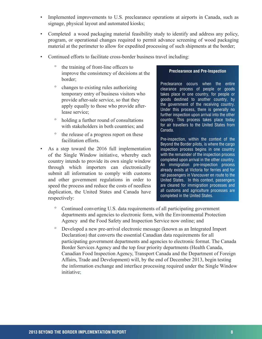- Implemented improvements to U.S. preclearance operations at airports in Canada, such as signage, physical layout and automated kiosks;
- Completed a wood packaging material feasibility study to identify and address any policy, program, or operational changes required to permit advance screening of wood packaging material at the perimeter to allow for expedited processing of such shipments at the border;
- Continued efforts to facilitate cross-border business travel including:
	- º the training of front-line officers to improve the consistency of decisions at the border;
	- º changes to existing rules authorizing temporary entry of business visitors who provide after-sale service, so that they apply equally to those who provide afterlease service;
	- º holding a further round of consultations with stakeholders in both countries; and
	- º the release of a progress report on these facilitation efforts.
- As a step toward the 2016 full implementation of the Single Window initiative, whereby each country intends to provide its own single window through which importers can electronically submit all information to comply with customs and other government regulations in order to speed the process and reduce the costs of needless duplication, the United States and Canada have respectively:

#### **Preclearance and Pre-Inspection**

Preclearance occurs when the entire clearance process of people or goods takes place in one country, for people or goods destined to another country, by the government of the receiving country. Under this process, there is generally no further inspection upon arrival into the other country. This process takes place today for air travellers to the United States from Canada.

Pre-inspection, within the context of the Beyond the Border pilots, is where the cargo inspection process begins in one country with the remainder of the inspection process completed upon arrival in the other country. An immigration pre-inspection process already exists at Victoria for ferries and for rail passengers in Vancouver en route to the United States. In this context, passengers are cleared for immigration processes and all customs and agriculture processes are completed in the United States.

- Continued converting U.S. data requirements of all participating government departments and agencies to electronic form, with the Environmental Protection Agency and the Food Safety and Inspection Service now online; and
- º Developed a new pre-arrival electronic message (known as an Integrated Import Declaration) that converts the essential Canadian data requirements for all participating government departments and agencies to electronic format. The Canada Border Services Agency and the top four priority departments (Health Canada, Canadian Food Inspection Agency, Transport Canada and the Department of Foreign Affairs, Trade and Development) will, by the end of December 2013, begin testing the information exchange and interface processing required under the Single Window initiative;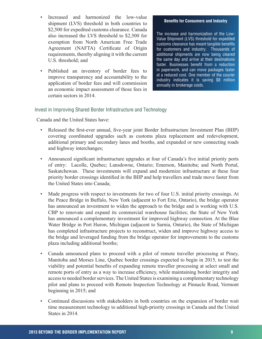- Increased and harmonized the low-value shipment (LVS) threshold in both countries to \$2,500 for expedited customs clearance. Canada also increased the LVS threshold to \$2,500 for exemption from North American Free Trade Agreement (NAFTA) Certificate of Origin requirements, thereby aligning it with the current U.S. threshold; and
- Published an inventory of border fees to improve transparency and accountability to the application of border fees and will commission an economic impact assessment of those fees in certain sectors in 2014.

#### **Benefits for Consumers and Industry**

The increase and harmonization of the Low-Value Shipment (LVS) threshold for expedited customs clearance has meant tangible benefits for customers and industry. Thousands of additional shipments are now being cleared the same day and arrive at their destinations faster. Businesses benefit from a reduction in paperwork, and can move packages faster at a reduced cost. One member of the courier industry indicates it is saving \$8 million annually in brokerage costs.

## Invest in Improving Shared Border Infrastructure and Technology

Canada and the United States have:

- Released the first-ever annual, five-year joint Border Infrastructure Investment Plan (BIIP) covering coordinated upgrades such as customs plaza replacement and redevelopment, additional primary and secondary lanes and booths, and expanded or new connecting roads and highway interchanges;
- Announced significant infrastructure upgrades at four of Canada's five initial priority ports of entry: Lacolle, Quebec; Lansdowne, Ontario; Emerson, Manitoba; and North Portal, Saskatchewan. These investments will expand and modernize infrastructure at these four priority border crossings identified in the BIIP and help travellers and trade move faster from the United States into Canada;
- Made progress with respect to investments for two of four U.S. initial priority crossings. At the Peace Bridge in Buffalo, New York (adjacent to Fort Erie, Ontario), the bridge operator has announced an investment to widen the approach to the bridge and is working with U.S. CBP to renovate and expand its commercial warehouse facilities; the State of New York has announced a complementary investment for improved highway connection. At the Blue Water Bridge in Port Huron, Michigan (adjacent to Sarnia, Ontario), the State of Michigan has completed infrastructure projects to reconstruct, widen and improve highway access to the bridge and leveraged funding from the bridge operator for improvements to the customs plaza including additional booths;
- Canada announced plans to proceed with a pilot of remote traveller processing at Piney, Manitoba and Morses Line, Quebec border crossings expected to begin in 2015, to test the viability and potential benefits of expanding remote traveller processing at select small and remote ports of entry as a way to increase efficiency, while maintaining border integrity and access to needed border services. The United States is examining a complementary technology pilot and plans to proceed with Remote Inspection Technology at Pinnacle Road, Vermont beginning in 2015; and
- Continued discussions with stakeholders in both countries on the expansion of border wait time measurement technology to additional high-priority crossings in Canada and the United States in 2014.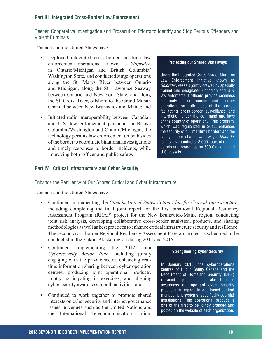## <span id="page-11-0"></span>**Part III. Integrated Cross-Border Law Enforcement**

## Deepen Cooperative Investigation and Prosecution Efforts to Identify and Stop Serious Offenders and Violent Criminals

Canada and the United States have:

- Deployed integrated cross-border maritime law enforcement operations, known as *Shiprider,*  in Ontario/Michigan and British Columbia/ Washington State, and conducted surge operations along the St. Marys River between Ontario and Michigan, along the St. Lawrence Seaway between Ontario and New York State, and along the St. Croix River, offshore to the Grand Manan Channel between New Brunswick and Maine; and
- Initiated radio interoperability between Canadian and U.S. law enforcement personnel in British Columbia/Washington and Ontario/Michigan; the technology permits law enforcement on both sides of the border to coordinate binational investigations and timely responses to border incidents, while improving both officer and public safety.

#### **Protecting our Shared Waterways**

Under the Integrated Cross Border Maritime Law Enforcement initiative known as *Shiprider*, vessels jointly crewed by specially trained and designated Canadian and U.S. law enforcement officers provide seamless continuity of enforcement and security operations on both sides of the border, facilitating cross-border surveillance and interdiction under the command and laws of the country of operation. This program, which was regularized in 2012, enhances the security of our maritime borders and the safety of our shared waterways. *Shiprider* teams have conducted 3,000 hours of regular patrols and boardings on 500 Canadian and U.S. vessels.

#### **Part IV. Critical Infrastructure and Cyber Security**

Enhance the Resiliency of Our Shared Critical and Cyber Infrastructure

Canada and the United States have:

- Continued implementing the *Canada-United States Action Plan for Critical Infrastructure*, including completing the final joint report for the first binational Regional Resiliency Assessment Program (RRAP) project for the New Brunswick-Maine region, conducting joint risk analysis, developing collaborative cross-border analytical products, and sharing methodologies as well as best practices to enhance critical infrastructure security and resilience. The second cross-border Regional Resiliency Assessment Program project is scheduled to be conducted in the Yukon-Alaska region during 2014 and 2015;
- Continued implementing the 2012 joint *Cybersecurity Action Plan,* including jointly engaging with the private sector, enhancing realtime information sharing between cyber operation centres, producing joint operational products, jointly participating in exercises, and aligning cybersecurity awareness month activities; and
- Continued to work together to promote shared interests on cyber security and internet governance issues in venues such as the United Nations and the International Telecommunication Union.

#### **Strengthening Cyber Security**

In January 2013, the cyberoperations centres of Public Safety Canada and the Department of Homeland Security (DHS) released a joint technical alert to raise awareness of important cyber security practices in regards to web-based content management systems, specifically Joomla! installations. This operational product is one of the first to be jointly branded and posted on the website of each organization.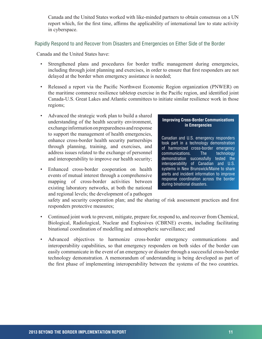Canada and the United States worked with like-minded partners to obtain consensus on a UN report which, for the first time, affirms the applicability of international law to state activity in cyberspace.

## Rapidly Respond to and Recover from Disasters and Emergencies on Either Side of the Border

Canada and the United States have:

- Strengthened plans and procedures for border traffic management during emergencies, including through joint planning and exercises, in order to ensure that first responders are not delayed at the border when emergency assistance is needed;
- Released a report via the Pacific Northwest Economic Region organization (PNWER) on the maritime commerce resilience tabletop exercise in the Pacific region, and identified joint Canada-U.S. Great Lakes and Atlantic committees to initiate similar resilience work in those regions;
- Advanced the strategic work plan to build a shared understanding of the health security environment, exchange information on preparedness and response to support the management of health emergencies, enhance cross-border health security partnerships through planning, training, and exercises, and address issues related to the exchange of personnel and interoperability to improve our health security;
- Enhanced cross-border cooperation on health events of mutual interest through a comprehensive mapping of cross-border activities between existing laboratory networks, at both the national and regional levels; the development of a pathogen

#### **Improving Cross-Border Communications in Emergencies**

Canadian and U.S. emergency responders took part in a technology demonstration of harmonized cross-border emergency<br>communications. The technology communications. The technology demonstration successfully tested the interoperability of Canadian and U.S. systems in New Brunswick/Maine to share alerts and incident information to improve response coordination across the border during binational disasters.

safety and security cooperation plan; and the sharing of risk assessment practices and first responders protective measures;

- Continued joint work to prevent, mitigate, prepare for, respond to, and recover from Chemical, Biological, Radiological, Nuclear and Explosives (CBRNE) events, including facilitating binational coordination of modelling and atmospheric surveillance; and
- Advanced objectives to harmonize cross-border emergency communications and interoperability capabilities, so that emergency responders on both sides of the border can easily communicate in the event of an emergency or disaster through a successful cross-border technology demonstration. A memorandum of understanding is being developed as part of the first phase of implementing interoperability between the systems of the two countries.